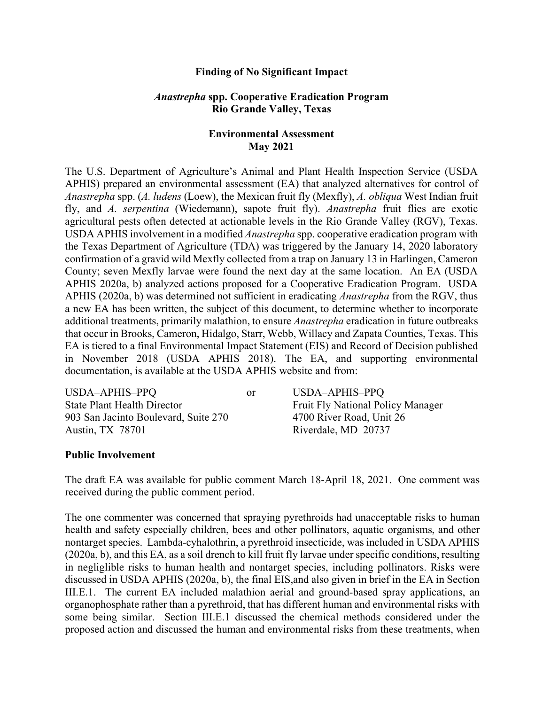## **Finding of No Significant Impact**

## *Anastrepha* **spp. Cooperative Eradication Program Rio Grande Valley, Texas**

## **Environmental Assessment May 2021**

The U.S. Department of Agriculture's Animal and Plant Health Inspection Service (USDA APHIS) prepared an environmental assessment (EA) that analyzed alternatives for control of *Anastrepha* spp. (*A. ludens* (Loew), the Mexican fruit fly (Mexfly), *A. obliqua* West Indian fruit fly, and *A. serpentina* (Wiedemann), sapote fruit fly). *Anastrepha* fruit flies are exotic agricultural pests often detected at actionable levels in the Rio Grande Valley (RGV), Texas. USDA APHIS involvement in a modified *Anastrepha* spp. cooperative eradication program with the Texas Department of Agriculture (TDA) was triggered by the January 14, 2020 laboratory confirmation of a gravid wild Mexfly collected from a trap on January 13 in Harlingen, Cameron County; seven Mexfly larvae were found the next day at the same location. An EA (USDA APHIS 2020a, b) analyzed actions proposed for a Cooperative Eradication Program. USDA APHIS (2020a, b) was determined not sufficient in eradicating *Anastrepha* from the RGV, thus a new EA has been written, the subject of this document, to determine whether to incorporate additional treatments, primarily malathion, to ensure *Anastrepha* eradication in future outbreaks that occur in Brooks, Cameron, Hidalgo, Starr, Webb, Willacy and Zapata Counties, Texas. This EA is tiered to a final Environmental Impact Statement (EIS) and Record of Decision published in November 2018 (USDA APHIS 2018). The EA, and supporting environmental documentation, is available at the USDA APHIS website and from:

| USDA-APHIS-PPQ                       | or | USDA-APHIS-PPQ                           |
|--------------------------------------|----|------------------------------------------|
| <b>State Plant Health Director</b>   |    | <b>Fruit Fly National Policy Manager</b> |
| 903 San Jacinto Boulevard, Suite 270 |    | 4700 River Road, Unit 26                 |
| Austin, TX 78701                     |    | Riverdale, MD 20737                      |

#### **Public Involvement**

The draft EA was available for public comment March 18-April 18, 2021. One comment was received during the public comment period.

The one commenter was concerned that spraying pyrethroids had unacceptable risks to human health and safety especially children, bees and other pollinators, aquatic organisms, and other nontarget species. Lambda-cyhalothrin, a pyrethroid insecticide, was included in USDA APHIS (2020a, b), and this EA, as a soil drench to kill fruit fly larvae under specific conditions, resulting in negliglible risks to human health and nontarget species, including pollinators. Risks were discussed in USDA APHIS (2020a, b), the final EIS,and also given in brief in the EA in Section III.E.1. The current EA included malathion aerial and ground-based spray applications, an organophosphate rather than a pyrethroid, that has different human and environmental risks with some being similar. Section III.E.1 discussed the chemical methods considered under the proposed action and discussed the human and environmental risks from these treatments, when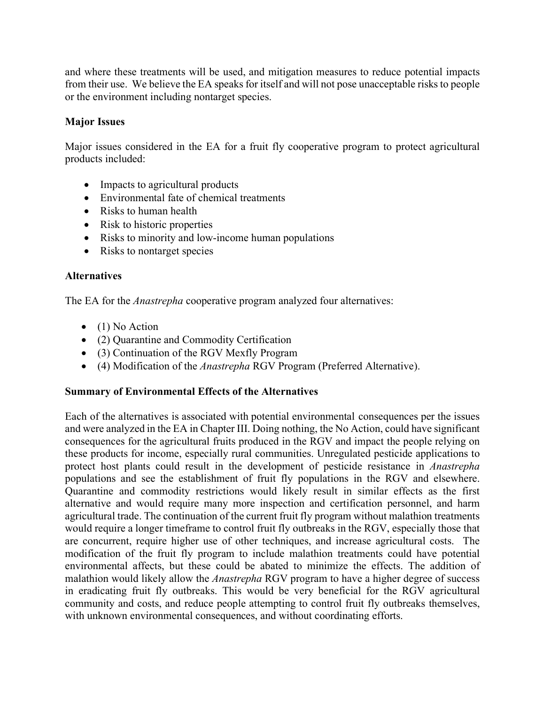and where these treatments will be used, and mitigation measures to reduce potential impacts from their use. We believe the EA speaks for itself and will not pose unacceptable risks to people or the environment including nontarget species.

# **Major Issues**

Major issues considered in the EA for a fruit fly cooperative program to protect agricultural products included:

- Impacts to agricultural products
- Environmental fate of chemical treatments
- Risks to human health
- Risk to historic properties
- Risks to minority and low-income human populations
- Risks to nontarget species

## **Alternatives**

The EA for the *Anastrepha* cooperative program analyzed four alternatives:

- $\bullet$  (1) No Action
- (2) Quarantine and Commodity Certification
- (3) Continuation of the RGV Mexfly Program
- (4) Modification of the *Anastrepha* RGV Program (Preferred Alternative).

# **Summary of Environmental Effects of the Alternatives**

Each of the alternatives is associated with potential environmental consequences per the issues and were analyzed in the EA in Chapter III. Doing nothing, the No Action, could have significant consequences for the agricultural fruits produced in the RGV and impact the people relying on these products for income, especially rural communities. Unregulated pesticide applications to protect host plants could result in the development of pesticide resistance in *Anastrepha* populations and see the establishment of fruit fly populations in the RGV and elsewhere. Quarantine and commodity restrictions would likely result in similar effects as the first alternative and would require many more inspection and certification personnel, and harm agricultural trade. The continuation of the current fruit fly program without malathion treatments would require a longer timeframe to control fruit fly outbreaks in the RGV, especially those that are concurrent, require higher use of other techniques, and increase agricultural costs. The modification of the fruit fly program to include malathion treatments could have potential environmental affects, but these could be abated to minimize the effects. The addition of malathion would likely allow the *Anastrepha* RGV program to have a higher degree of success in eradicating fruit fly outbreaks. This would be very beneficial for the RGV agricultural community and costs, and reduce people attempting to control fruit fly outbreaks themselves, with unknown environmental consequences, and without coordinating efforts.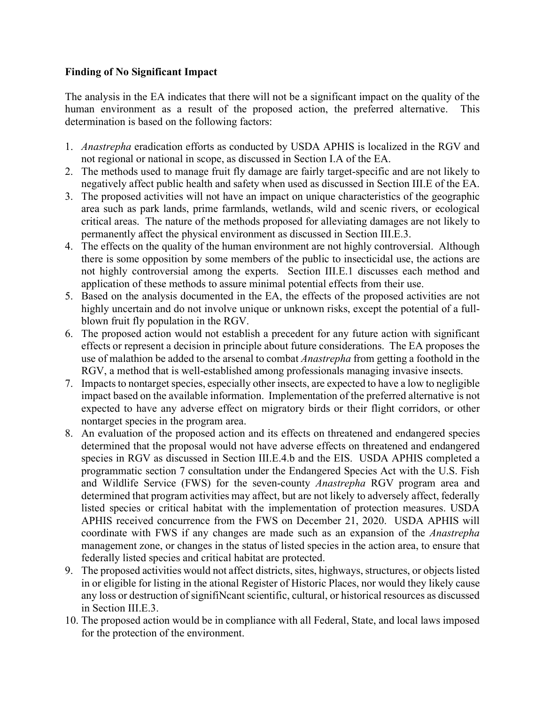# **Finding of No Significant Impact**

The analysis in the EA indicates that there will not be a significant impact on the quality of the human environment as a result of the proposed action, the preferred alternative. This determination is based on the following factors:

- 1. *Anastrepha* eradication efforts as conducted by USDA APHIS is localized in the RGV and not regional or national in scope, as discussed in Section I.A of the EA.
- 2. The methods used to manage fruit fly damage are fairly target-specific and are not likely to negatively affect public health and safety when used as discussed in Section III.E of the EA.
- 3. The proposed activities will not have an impact on unique characteristics of the geographic area such as park lands, prime farmlands, wetlands, wild and scenic rivers, or ecological critical areas. The nature of the methods proposed for alleviating damages are not likely to permanently affect the physical environment as discussed in Section III.E.3.
- 4. The effects on the quality of the human environment are not highly controversial. Although there is some opposition by some members of the public to insecticidal use, the actions are not highly controversial among the experts. Section III.E.1 discusses each method and application of these methods to assure minimal potential effects from their use.
- 5. Based on the analysis documented in the EA, the effects of the proposed activities are not highly uncertain and do not involve unique or unknown risks, except the potential of a fullblown fruit fly population in the RGV.
- 6. The proposed action would not establish a precedent for any future action with significant effects or represent a decision in principle about future considerations. The EA proposes the use of malathion be added to the arsenal to combat *Anastrepha* from getting a foothold in the RGV, a method that is well-established among professionals managing invasive insects.
- 7. Impacts to nontarget species, especially other insects, are expected to have a low to negligible impact based on the available information. Implementation of the preferred alternative is not expected to have any adverse effect on migratory birds or their flight corridors, or other nontarget species in the program area.
- 8. An evaluation of the proposed action and its effects on threatened and endangered species determined that the proposal would not have adverse effects on threatened and endangered species in RGV as discussed in Section III.E.4.b and the EIS. USDA APHIS completed a programmatic section 7 consultation under the Endangered Species Act with the U.S. Fish and Wildlife Service (FWS) for the seven-county *Anastrepha* RGV program area and determined that program activities may affect, but are not likely to adversely affect, federally listed species or critical habitat with the implementation of protection measures. USDA APHIS received concurrence from the FWS on December 21, 2020. USDA APHIS will coordinate with FWS if any changes are made such as an expansion of the *Anastrepha* management zone, or changes in the status of listed species in the action area, to ensure that federally listed species and critical habitat are protected.
- 9. The proposed activities would not affect districts, sites, highways, structures, or objects listed in or eligible for listing in the ational Register of Historic Places, nor would they likely cause any loss or destruction of signifiNcant scientific, cultural, or historical resources as discussed in Section III.E.3.
- 10. The proposed action would be in compliance with all Federal, State, and local laws imposed for the protection of the environment.